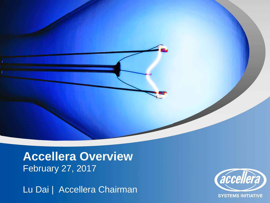**Accellera Overview** February 27, 2017

Lu Dai | Accellera Chairman



**SYSTEMS INITIATIVE**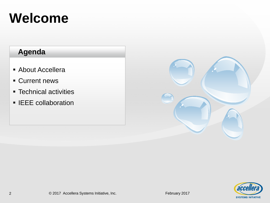## **Welcome**

- About Accellera
- Current news
- **F** Technical activities
- **ELEE** collaboration



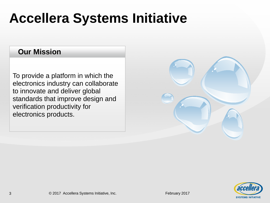## **Accellera Systems Initiative**

### **Our Mission**

To provide a platform in which the electronics industry can collaborate to innovate and deliver global standards that improve design and verification productivity for electronics products.

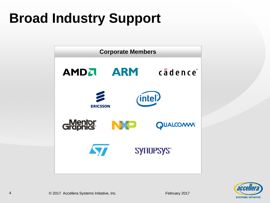## **Broad Industry Support**



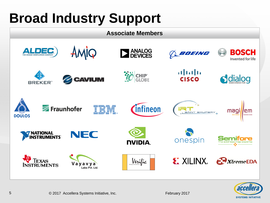## **Broad Industry Support**



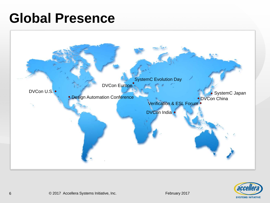### **Global Presence**



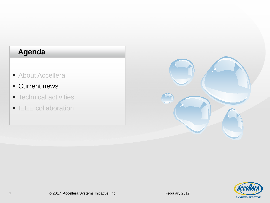- **About Accellera**
- **Current news**
- **Technical activities**
- **IEEE** collaboration



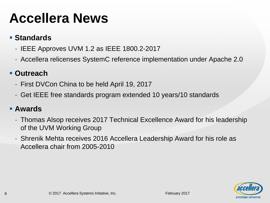## **Accellera News**

### **Standards**

- IEEE Approves UVM 1.2 as IEEE 1800.2-2017
- Accellera relicenses SystemC reference implementation under Apache 2.0

### **Outreach**

- First DVCon China to be held April 19, 2017
- Get IEEE free standards program extended 10 years/10 standards

#### **Awards**

- Thomas Alsop receives 2017 Technical Excellence Award for his leadership of the UVM Working Group
- Shrenik Mehta receives 2016 Accellera Leadership Award for his role as Accellera chair from 2005-2010

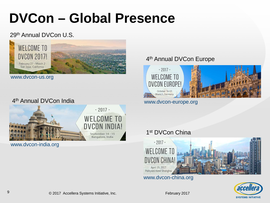## **DVCon – Global Presence**

#### 29th Annual DVCon U.S.



www.dvcon-us.org



www.dvcon-india.org

#### 4th Annual DVCon Europe



www.dvcon-europe.org



www.dvcon-china.org

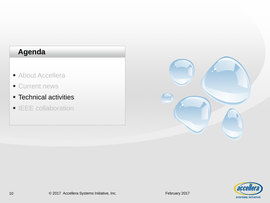- **About Accellera**
- **Current news**
- **Fechnical activities**
- **IEEE** collaboration



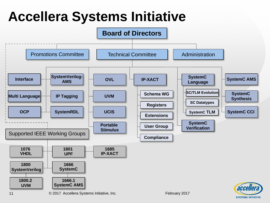## **Accellera Systems Initiative**



**SYSTEMS INITIATIVE**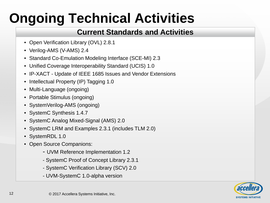## **Ongoing Technical Activities**

### **Current Standards and Activities**

- Open Verification Library (OVL) 2.8.1
- Verilog-AMS (V-AMS) 2.4
- Standard Co-Emulation Modeling Interface (SCE-MI) 2.3
- Unified Coverage Interoperability Standard (UCIS) 1.0
- IP-XACT Update of IEEE 1685 Issues and Vendor Extensions
- Intellectual Property (IP) Tagging 1.0
- Multi-Language (ongoing)
- Portable Stimulus (ongoing)
- SystemVerilog-AMS (ongoing)
- SystemC Synthesis 1.4.7
- SystemC Analog Mixed-Signal (AMS) 2.0
- SystemC LRM and Examples 2.3.1 (includes TLM 2.0)
- SystemRDL 1.0
- Open Source Companions:
	- UVM Reference Implementation 1.2
	- SystemC Proof of Concept Library 2.3.1
	- SystemC Verification Library (SCV) 2.0
	- UVM-SystemC 1.0-alpha version

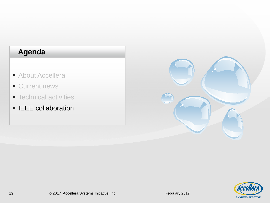- **About Accellera**
- **Current news**
- **Technical activities**
- **IEEE** collaboration



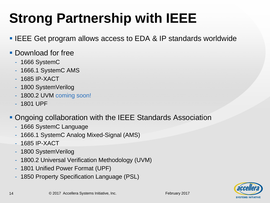## **Strong Partnership with IEEE**

- **IEEE Get program allows access to EDA & IP standards worldwide**
- **Download for free** 
	- 1666 SystemC
	- 1666.1 SystemC AMS
	- 1685 IP-XACT
	- 1800 SystemVerilog
	- 1800.2 UVM coming soon!
	- 1801 UPF
- Ongoing collaboration with the IEEE Standards Association
	- 1666 SystemC Language
	- 1666.1 SystemC Analog Mixed-Signal (AMS)
	- 1685 IP-XACT
	- 1800 SystemVerilog
	- 1800.2 Universal Verification Methodology (UVM)
	- 1801 Unified Power Format (UPF)
	- 1850 Property Specification Language (PSL)



14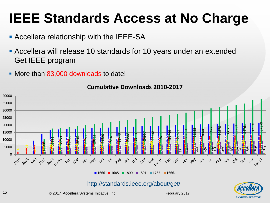### **IEEE Standards Access at No Charge**

- **Accellera relationship with the IEEE-SA**
- **Accellera will release 10 standards for 10 years under an extended** Get IEEE program
- More than 83,000 downloads to date!



**Cumulative Downloads 2010-2017**



© 2017 Accellera Systems Initiative, Inc. February 2017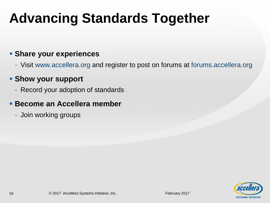## **Advancing Standards Together**

#### **Share your experiences**

- Visit www.accellera.org and register to post on forums at forums.accellera.org

#### **Show your support**

- Record your adoption of standards

#### **Become an Accellera member**

- Join working groups